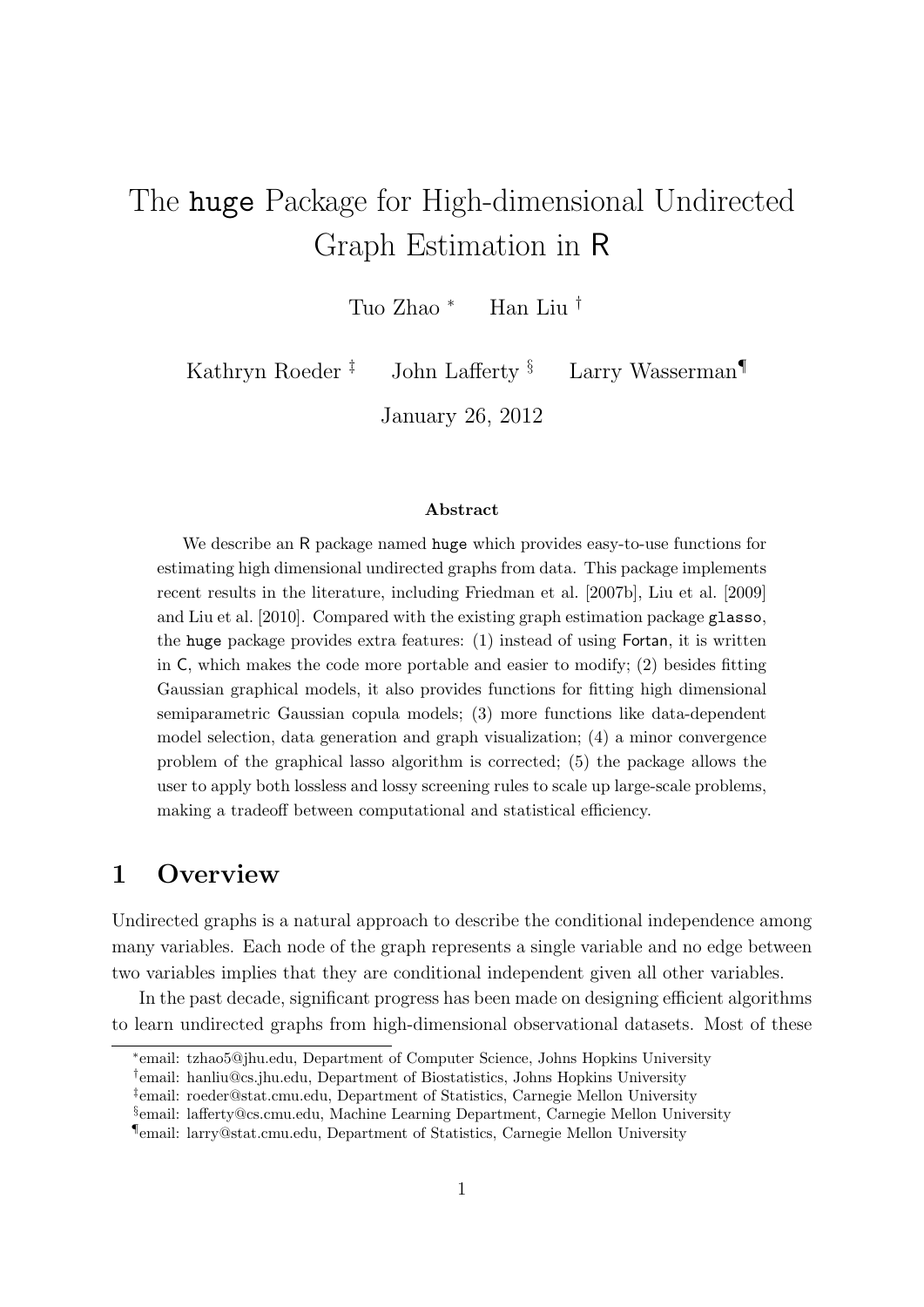# The huge Package for High-dimensional Undirected Graph Estimation in R

Tuo Zhao <sup>∗</sup> Han Liu †

Kathryn Roeder<sup>‡</sup> John Lafferty<sup>§</sup> Larry Wasserman<sup>¶</sup>

January 26, 2012

#### Abstract

We describe an R package named huge which provides easy-to-use functions for estimating high dimensional undirected graphs from data. This package implements recent results in the literature, including Friedman et al. [2007b], Liu et al. [2009] and Liu et al. [2010]. Compared with the existing graph estimation package glasso, the huge package provides extra features: (1) instead of using Fortan, it is written in C, which makes the code more portable and easier to modify; (2) besides fitting Gaussian graphical models, it also provides functions for fitting high dimensional semiparametric Gaussian copula models; (3) more functions like data-dependent model selection, data generation and graph visualization; (4) a minor convergence problem of the graphical lasso algorithm is corrected; (5) the package allows the user to apply both lossless and lossy screening rules to scale up large-scale problems, making a tradeoff between computational and statistical efficiency.

#### 1 Overview

Undirected graphs is a natural approach to describe the conditional independence among many variables. Each node of the graph represents a single variable and no edge between two variables implies that they are conditional independent given all other variables.

In the past decade, significant progress has been made on designing efficient algorithms to learn undirected graphs from high-dimensional observational datasets. Most of these

<sup>∗</sup> email: tzhao5@jhu.edu, Department of Computer Science, Johns Hopkins University

<sup>†</sup> email: hanliu@cs.jhu.edu, Department of Biostatistics, Johns Hopkins University

<sup>‡</sup> email: roeder@stat.cmu.edu, Department of Statistics, Carnegie Mellon University

<sup>§</sup> email: lafferty@cs.cmu.edu, Machine Learning Department, Carnegie Mellon University

<sup>¶</sup>email: larry@stat.cmu.edu, Department of Statistics, Carnegie Mellon University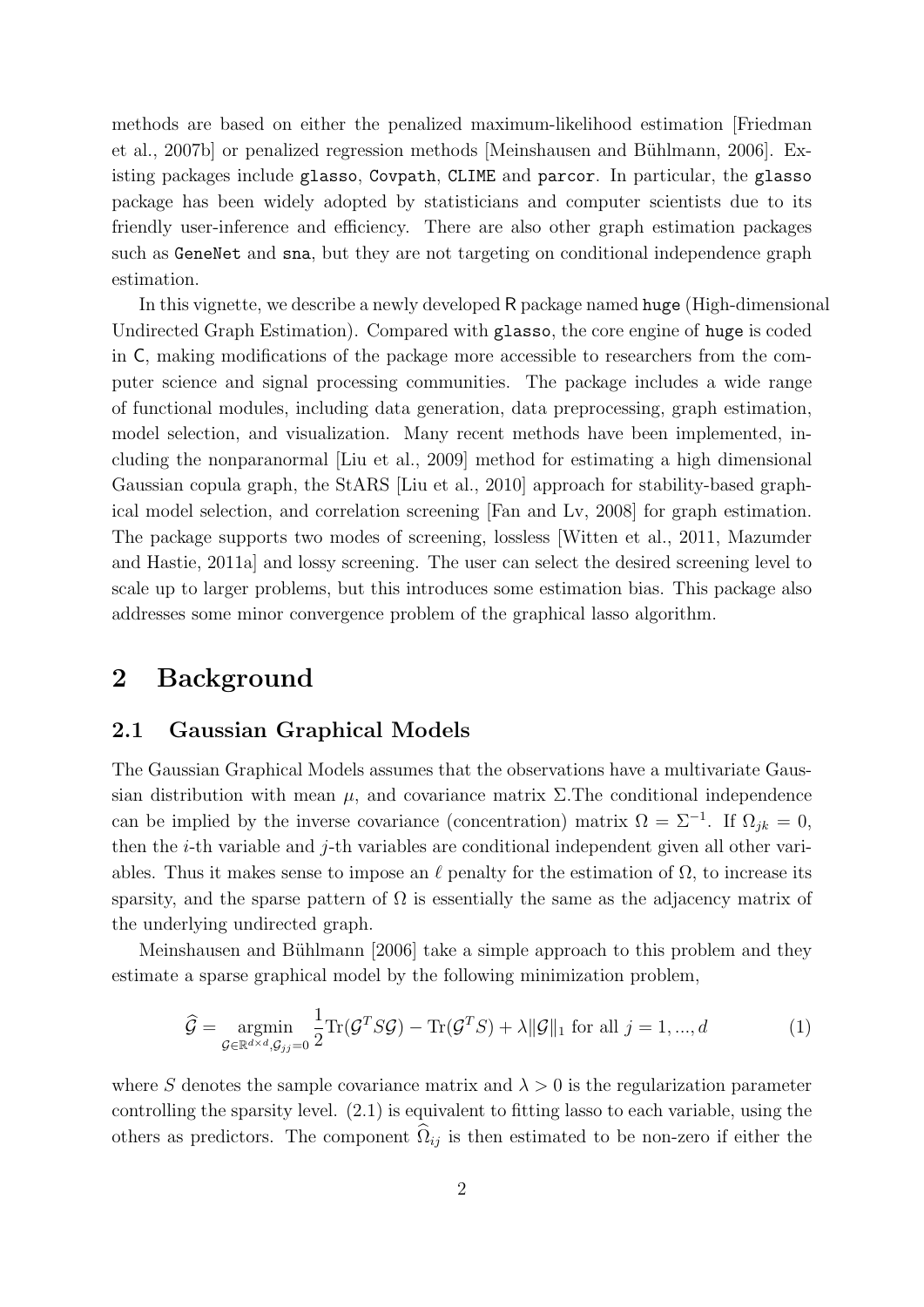methods are based on either the penalized maximum-likelihood estimation [Friedman et al., 2007b] or penalized regression methods [Meinshausen and Bühlmann, 2006]. Existing packages include glasso, Covpath, CLIME and parcor. In particular, the glasso package has been widely adopted by statisticians and computer scientists due to its friendly user-inference and efficiency. There are also other graph estimation packages such as GeneNet and sna, but they are not targeting on conditional independence graph estimation.

In this vignette, we describe a newly developed R package named huge (High-dimensional Undirected Graph Estimation). Compared with glasso, the core engine of huge is coded in C, making modifications of the package more accessible to researchers from the computer science and signal processing communities. The package includes a wide range of functional modules, including data generation, data preprocessing, graph estimation, model selection, and visualization. Many recent methods have been implemented, including the nonparanormal [Liu et al., 2009] method for estimating a high dimensional Gaussian copula graph, the StARS [Liu et al., 2010] approach for stability-based graphical model selection, and correlation screening [Fan and Lv, 2008] for graph estimation. The package supports two modes of screening, lossless [Witten et al., 2011, Mazumder and Hastie, 2011a] and lossy screening. The user can select the desired screening level to scale up to larger problems, but this introduces some estimation bias. This package also addresses some minor convergence problem of the graphical lasso algorithm.

#### 2 Background

#### 2.1 Gaussian Graphical Models

The Gaussian Graphical Models assumes that the observations have a multivariate Gaussian distribution with mean  $\mu$ , and covariance matrix Σ. The conditional independence can be implied by the inverse covariance (concentration) matrix  $\Omega = \Sigma^{-1}$ . If  $\Omega_{jk} = 0$ , then the i-th variable and j-th variables are conditional independent given all other variables. Thus it makes sense to impose an  $\ell$  penalty for the estimation of  $\Omega$ , to increase its sparsity, and the sparse pattern of  $\Omega$  is essentially the same as the adjacency matrix of the underlying undirected graph.

Meinshausen and Bühlmann [2006] take a simple approach to this problem and they estimate a sparse graphical model by the following minimization problem,

$$
\widehat{\mathcal{G}} = \underset{\mathcal{G} \in \mathbb{R}^{d \times d}, \mathcal{G}_{jj} = 0}{\text{argmin}} \frac{1}{2} \text{Tr}(\mathcal{G}^T S \mathcal{G}) - \text{Tr}(\mathcal{G}^T S) + \lambda \|\mathcal{G}\|_1 \text{ for all } j = 1, ..., d
$$
 (1)

where S denotes the sample covariance matrix and  $\lambda > 0$  is the regularization parameter controlling the sparsity level. (2.1) is equivalent to fitting lasso to each variable, using the others as predictors. The component  $\Omega_{ij}$  is then estimated to be non-zero if either the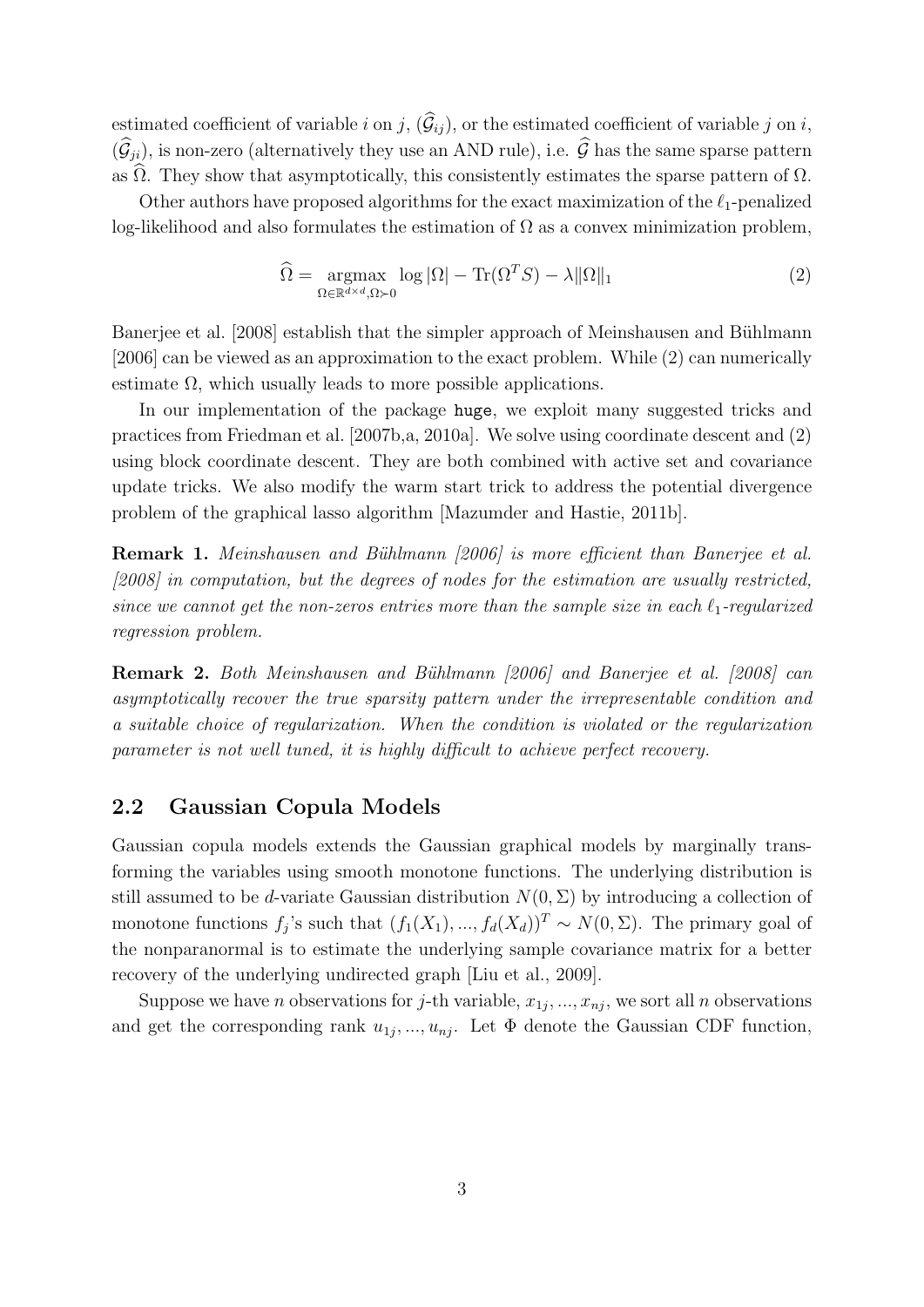estimated coefficient of variable i on j,  $(\widehat{G}_{ij})$ , or the estimated coefficient of variable j on i,  $(\widehat{\mathcal{G}}_{ii})$ , is non-zero (alternatively they use an AND rule), i.e.  $\widehat{\mathcal{G}}$  has the same sparse pattern as  $\Omega$ . They show that asymptotically, this consistently estimates the sparse pattern of  $\Omega$ .

Other authors have proposed algorithms for the exact maximization of the  $\ell_1$ -penalized log-likelihood and also formulates the estimation of  $\Omega$  as a convex minimization problem,

$$
\widehat{\Omega} = \underset{\Omega \in \mathbb{R}^{d \times d}, \Omega \succ 0}{\operatorname{argmax}} \log |\Omega| - \operatorname{Tr}(\Omega^T S) - \lambda ||\Omega||_1 \tag{2}
$$

Banerjee et al. [2008] establish that the simpler approach of Meinshausen and Bühlmann [2006] can be viewed as an approximation to the exact problem. While (2) can numerically estimate  $\Omega$ , which usually leads to more possible applications.

In our implementation of the package huge, we exploit many suggested tricks and practices from Friedman et al. [2007b,a, 2010a]. We solve using coordinate descent and (2) using block coordinate descent. They are both combined with active set and covariance update tricks. We also modify the warm start trick to address the potential divergence problem of the graphical lasso algorithm [Mazumder and Hastie, 2011b].

Remark 1. Meinshausen and Bühlmann [2006] is more efficient than Banerjee et al. [2008] in computation, but the degrees of nodes for the estimation are usually restricted, since we cannot get the non-zeros entries more than the sample size in each  $\ell_1$ -regularized regression problem.

Remark 2. Both Meinshausen and Bühlmann [2006] and Banerjee et al. [2008] can asymptotically recover the true sparsity pattern under the irrepresentable condition and a suitable choice of regularization. When the condition is violated or the regularization parameter is not well tuned, it is highly difficult to achieve perfect recovery.

#### 2.2 Gaussian Copula Models

Gaussian copula models extends the Gaussian graphical models by marginally transforming the variables using smooth monotone functions. The underlying distribution is still assumed to be d-variate Gaussian distribution  $N(0, \Sigma)$  by introducing a collection of monotone functions  $f_j$ 's such that  $(f_1(X_1),..., f_d(X_d))^T \sim N(0, \Sigma)$ . The primary goal of the nonparanormal is to estimate the underlying sample covariance matrix for a better recovery of the underlying undirected graph [Liu et al., 2009].

Suppose we have *n* observations for *j*-th variable,  $x_{1j},...,x_{nj}$ , we sort all *n* observations and get the corresponding rank  $u_{1j},...,u_{nj}$ . Let  $\Phi$  denote the Gaussian CDF function,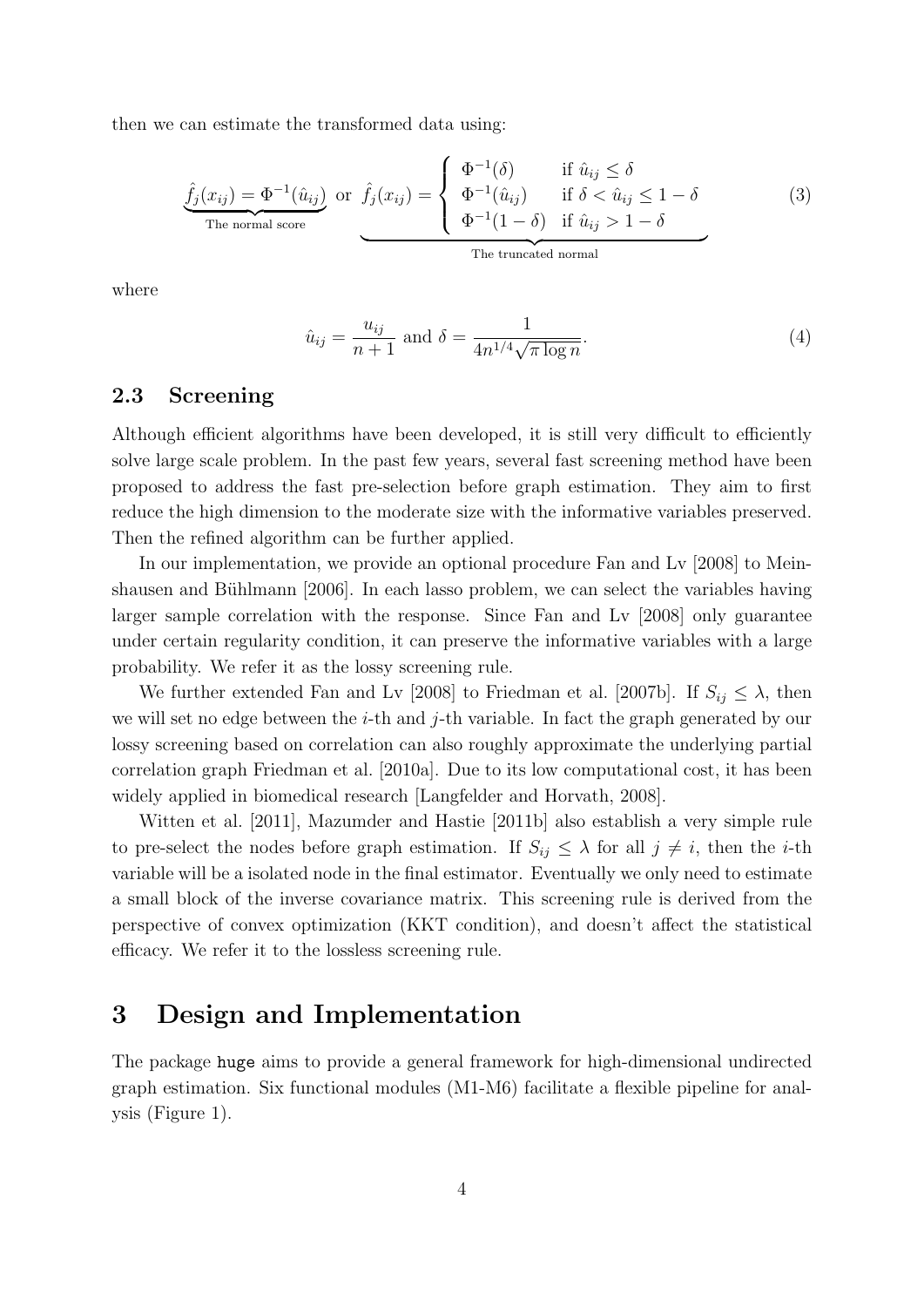then we can estimate the transformed data using:

$$
\hat{f}_j(x_{ij}) = \Phi^{-1}(\hat{u}_{ij}) \text{ or } \hat{f}_j(x_{ij}) = \begin{cases} \Phi^{-1}(\delta) & \text{if } \hat{u}_{ij} \leq \delta \\ \Phi^{-1}(\hat{u}_{ij}) & \text{if } \delta < \hat{u}_{ij} \leq 1 - \delta \\ \Phi^{-1}(1 - \delta) & \text{if } \hat{u}_{ij} > 1 - \delta \end{cases}
$$
(3)

where

$$
\hat{u}_{ij} = \frac{u_{ij}}{n+1} \text{ and } \delta = \frac{1}{4n^{1/4}\sqrt{\pi \log n}}.\tag{4}
$$

#### 2.3 Screening

Although efficient algorithms have been developed, it is still very difficult to efficiently solve large scale problem. In the past few years, several fast screening method have been proposed to address the fast pre-selection before graph estimation. They aim to first reduce the high dimension to the moderate size with the informative variables preserved. Then the refined algorithm can be further applied.

In our implementation, we provide an optional procedure Fan and Lv [2008] to Meinshausen and Bühlmann [2006]. In each lasso problem, we can select the variables having larger sample correlation with the response. Since Fan and Lv [2008] only guarantee under certain regularity condition, it can preserve the informative variables with a large probability. We refer it as the lossy screening rule.

We further extended Fan and Lv [2008] to Friedman et al. [2007b]. If  $S_{ij} \leq \lambda$ , then we will set no edge between the *i*-th and *j*-th variable. In fact the graph generated by our lossy screening based on correlation can also roughly approximate the underlying partial correlation graph Friedman et al. [2010a]. Due to its low computational cost, it has been widely applied in biomedical research [Langfelder and Horvath, 2008].

Witten et al. [2011], Mazumder and Hastie [2011b] also establish a very simple rule to pre-select the nodes before graph estimation. If  $S_{ij} \leq \lambda$  for all  $j \neq i$ , then the *i*-th variable will be a isolated node in the final estimator. Eventually we only need to estimate a small block of the inverse covariance matrix. This screening rule is derived from the perspective of convex optimization (KKT condition), and doesn't affect the statistical efficacy. We refer it to the lossless screening rule.

### 3 Design and Implementation

The package huge aims to provide a general framework for high-dimensional undirected graph estimation. Six functional modules (M1-M6) facilitate a flexible pipeline for analysis (Figure 1).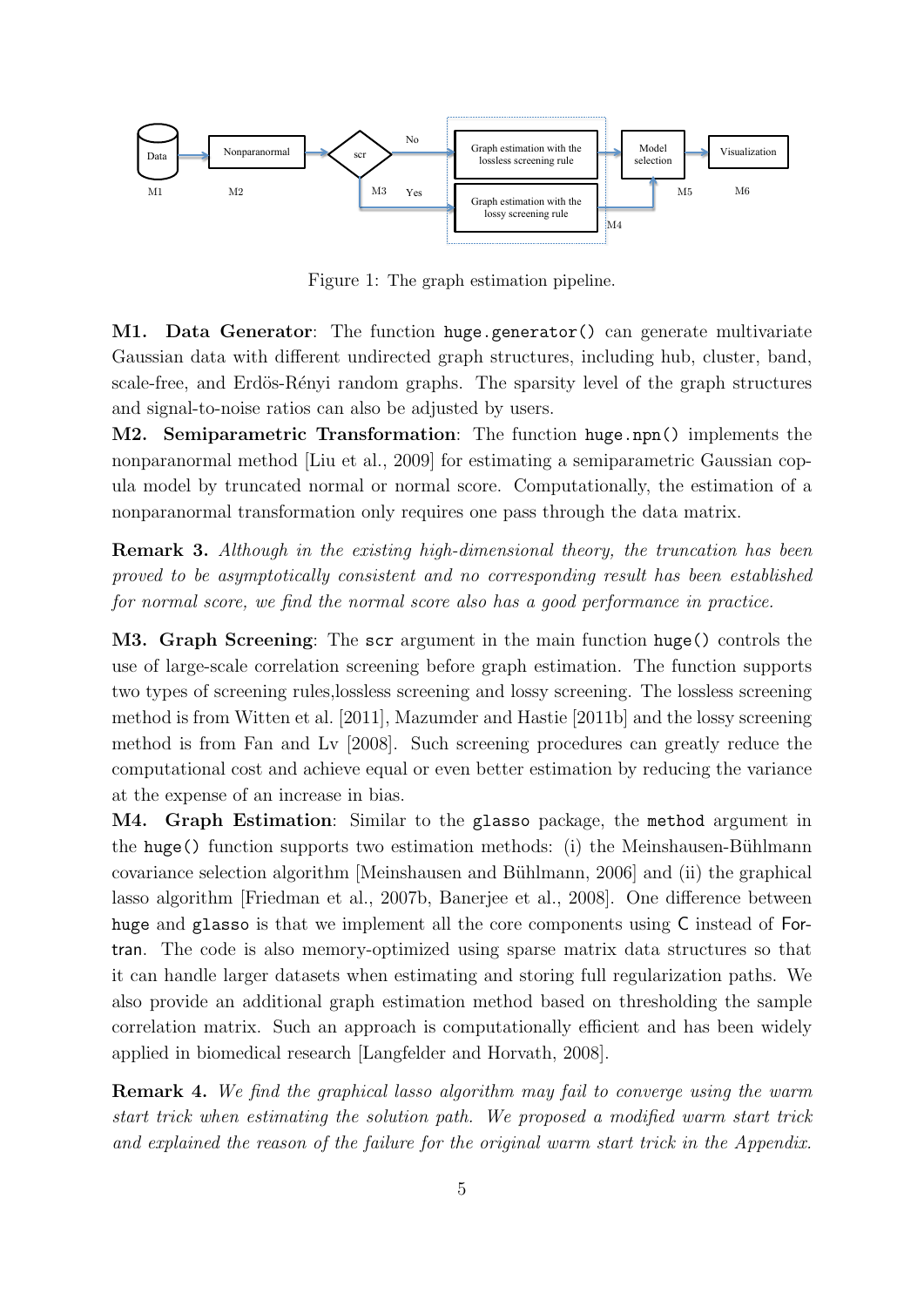

Figure 1: The graph estimation pipeline.

M1. Data Generator: The function huge.generator() can generate multivariate Gaussian data with different undirected graph structures, including hub, cluster, band, scale-free, and Erdös-Rényi random graphs. The sparsity level of the graph structures and signal-to-noise ratios can also be adjusted by users.

M2. Semiparametric Transformation: The function huge.npn() implements the nonparanormal method [Liu et al., 2009] for estimating a semiparametric Gaussian copula model by truncated normal or normal score. Computationally, the estimation of a nonparanormal transformation only requires one pass through the data matrix.

Remark 3. Although in the existing high-dimensional theory, the truncation has been proved to be asymptotically consistent and no corresponding result has been established for normal score, we find the normal score also has a good performance in practice.

M3. Graph Screening: The scr argument in the main function huge() controls the use of large-scale correlation screening before graph estimation. The function supports two types of screening rules,lossless screening and lossy screening. The lossless screening method is from Witten et al. [2011], Mazumder and Hastie [2011b] and the lossy screening method is from Fan and Lv [2008]. Such screening procedures can greatly reduce the computational cost and achieve equal or even better estimation by reducing the variance at the expense of an increase in bias.

M4. Graph Estimation: Similar to the glasso package, the method argument in the huge() function supports two estimation methods: (i) the Meinshausen-Bühlmann covariance selection algorithm [Meinshausen and Bühlmann, 2006] and (ii) the graphical lasso algorithm [Friedman et al., 2007b, Banerjee et al., 2008]. One difference between huge and glasso is that we implement all the core components using C instead of Fortran. The code is also memory-optimized using sparse matrix data structures so that it can handle larger datasets when estimating and storing full regularization paths. We also provide an additional graph estimation method based on thresholding the sample correlation matrix. Such an approach is computationally efficient and has been widely applied in biomedical research [Langfelder and Horvath, 2008].

Remark 4. We find the graphical lasso algorithm may fail to converge using the warm start trick when estimating the solution path. We proposed a modified warm start trick and explained the reason of the failure for the original warm start trick in the Appendix.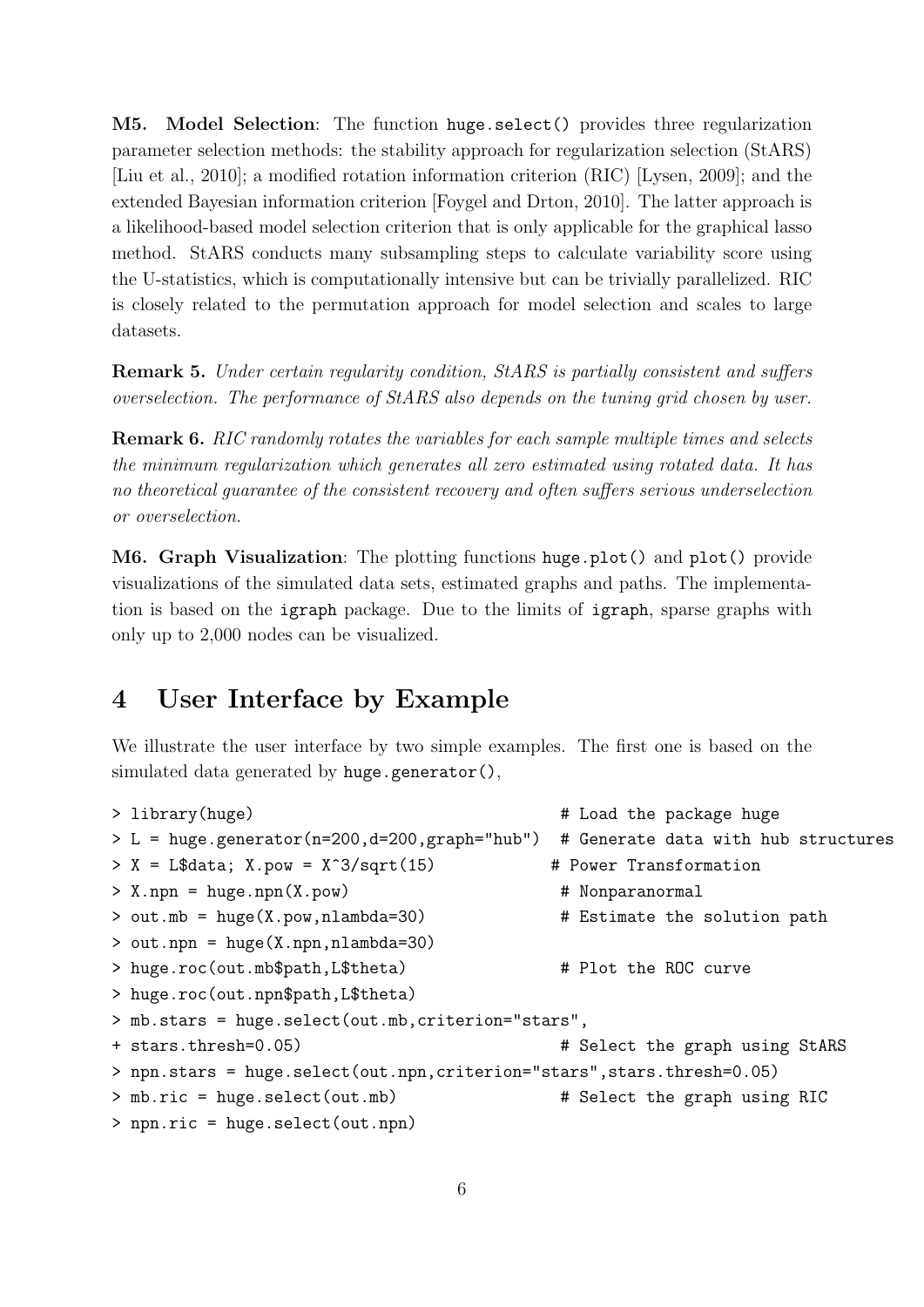M5. Model Selection: The function huge.select() provides three regularization parameter selection methods: the stability approach for regularization selection (StARS) [Liu et al., 2010]; a modified rotation information criterion (RIC) [Lysen, 2009]; and the extended Bayesian information criterion [Foygel and Drton, 2010]. The latter approach is a likelihood-based model selection criterion that is only applicable for the graphical lasso method. StARS conducts many subsampling steps to calculate variability score using the U-statistics, which is computationally intensive but can be trivially parallelized. RIC is closely related to the permutation approach for model selection and scales to large datasets.

Remark 5. Under certain regularity condition, StARS is partially consistent and suffers overselection. The performance of StARS also depends on the tuning grid chosen by user.

Remark 6. RIC randomly rotates the variables for each sample multiple times and selects the minimum regularization which generates all zero estimated using rotated data. It has no theoretical guarantee of the consistent recovery and often suffers serious underselection or overselection.

M6. Graph Visualization: The plotting functions huge.plot() and plot() provide visualizations of the simulated data sets, estimated graphs and paths. The implementation is based on the igraph package. Due to the limits of igraph, sparse graphs with only up to 2,000 nodes can be visualized.

## 4 User Interface by Example

We illustrate the user interface by two simple examples. The first one is based on the simulated data generated by huge.generator(),

```
> library(huge) # Load the package huge
> L = huge.generator(n=200,d=200,graph="hub") # Generate data with hub structures
> X = L$data; X.pow = X^3/sqrt(15) # Power Transformation
> X.npn = huge.npn(X.pow) # Nonparanormal
> out.mb = huge(X.pow,nlambda=30)    # Estimate the solution path
> out.npn = huge(X.npn,nlambda=30)
> huge.roc(out.mb$path,L$theta) # Plot the ROC curve
> huge.roc(out.npn$path,L$theta)
> mb.stars = huge.select(out.mb,criterion="stars",
+ stars.thresh=0.05) # Select the graph using StARS
> npn.stars = huge.select(out.npn,criterion="stars",stars.thresh=0.05)
> mb.ric = huge.select(out.mb) # Select the graph using RIC
> npn.ric = huge.select(out.npn)
```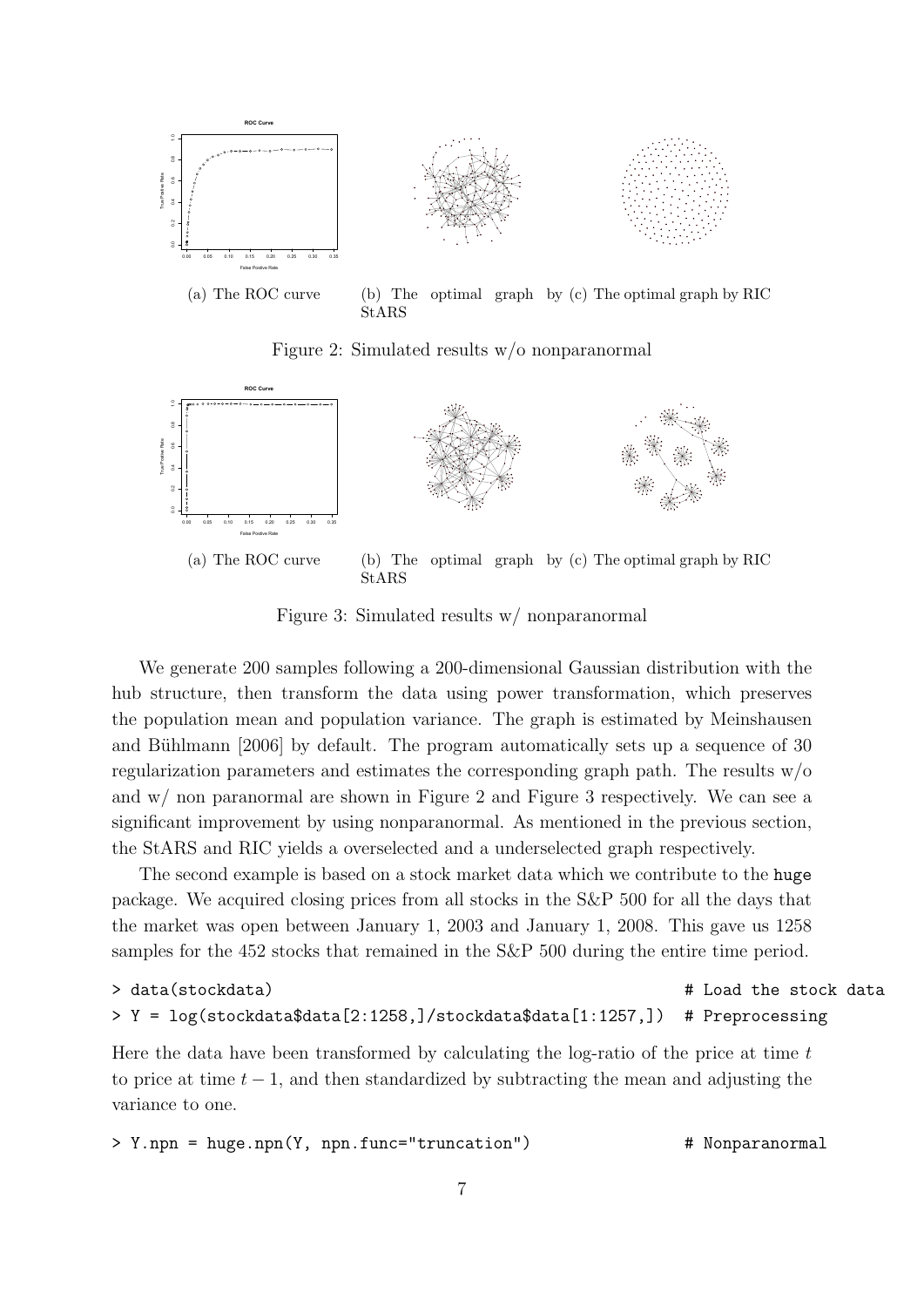

Figure 2: Simulated results w/o nonparanormal



Figure 3: Simulated results w/ nonparanormal

We generate 200 samples following a 200-dimensional Gaussian distribution with the hub structure, then transform the data using power transformation, which preserves the population mean and population variance. The graph is estimated by Meinshausen and Bühlmann [2006] by default. The program automatically sets up a sequence of 30 regularization parameters and estimates the corresponding graph path. The results w/o and w/ non paranormal are shown in Figure 2 and Figure 3 respectively. We can see a significant improvement by using nonparanormal. As mentioned in the previous section, the StARS and RIC yields a overselected and a underselected graph respectively.

The second example is based on a stock market data which we contribute to the huge package. We acquired closing prices from all stocks in the S&P 500 for all the days that the market was open between January 1, 2003 and January 1, 2008. This gave us 1258 samples for the 452 stocks that remained in the S&P 500 during the entire time period.

```
> data(stockdata) # Load the stock data
> Y = log(stockdata$data[2:1258,]/stockdata$data[1:1257,]) # Preprocessing
```
Here the data have been transformed by calculating the log-ratio of the price at time  $t$ to price at time  $t - 1$ , and then standardized by subtracting the mean and adjusting the variance to one.

```
> Y.npn = huge.npn(Y, npn.func="truncation") \qquad # Nonparanormal
```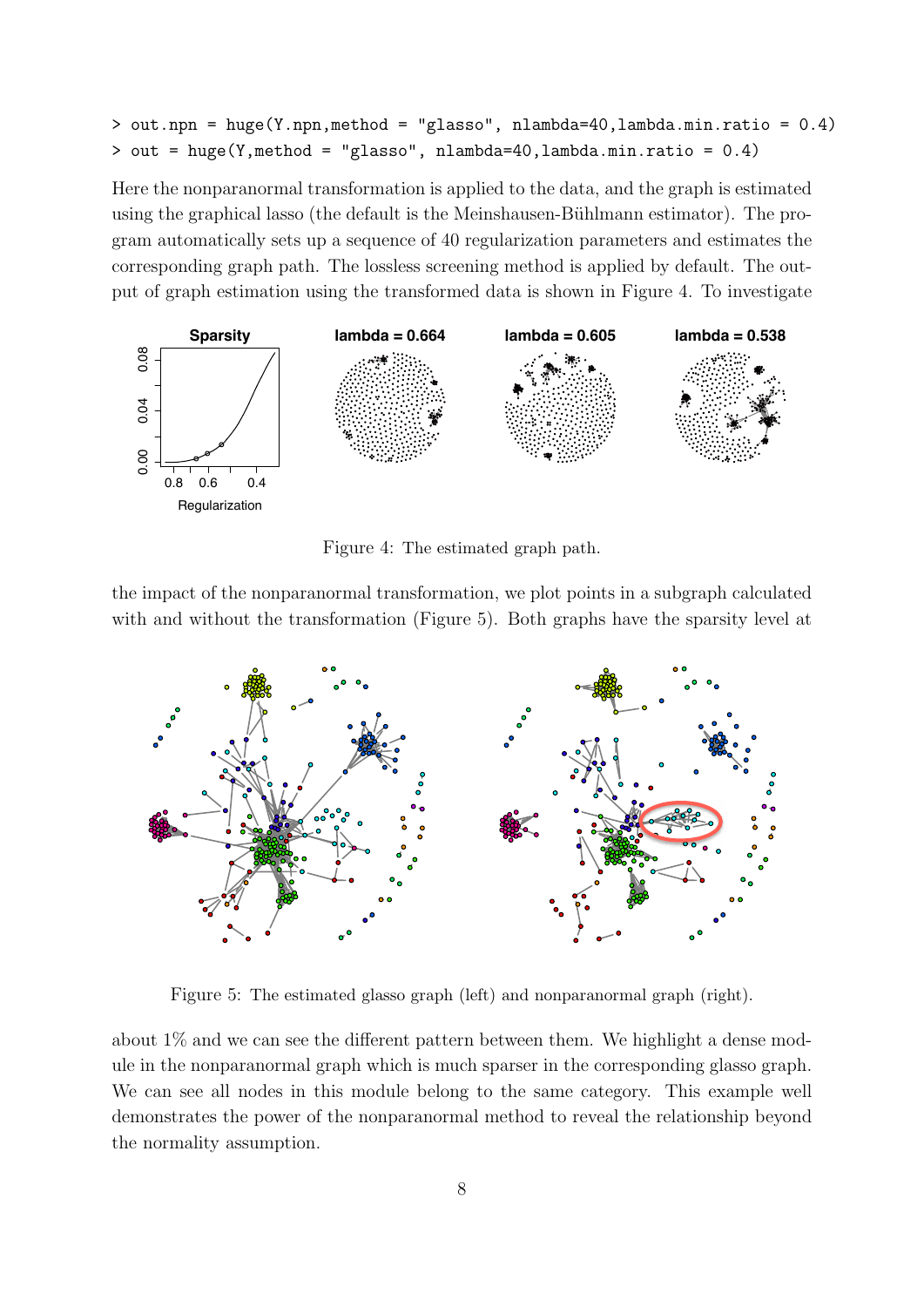```
> out.npn = huge(Y.npn,method = "glasso", nlambda=40,lambda.min.ratio = 0.4)
> out = huge(Y,method = "glasso", nlambda=40,lambda.min.ratio = 0.4)
```
Here the nonparanormal transformation is applied to the data, and the graph is estimated using the graphical lasso (the default is the Meinshausen-Bühlmann estimator). The program automatically sets up a sequence of 40 regularization parameters and estimates the corresponding graph path. The lossless screening method is applied by default. The output of graph estimation using the transformed data is shown in Figure 4. To investigate



Figure 4: The estimated graph path.

the impact of the nonparanormal transformation, we plot points in a subgraph calculated with and without the transformation (Figure 5). Both graphs have the sparsity level at



Figure 5: The estimated glasso graph (left) and nonparanormal graph (right).

about 1% and we can see the different pattern between them. We highlight a dense module in the nonparanormal graph which is much sparser in the corresponding glasso graph. We can see all nodes in this module belong to the same category. This example well demonstrates the power of the nonparanormal method to reveal the relationship beyond the normality assumption.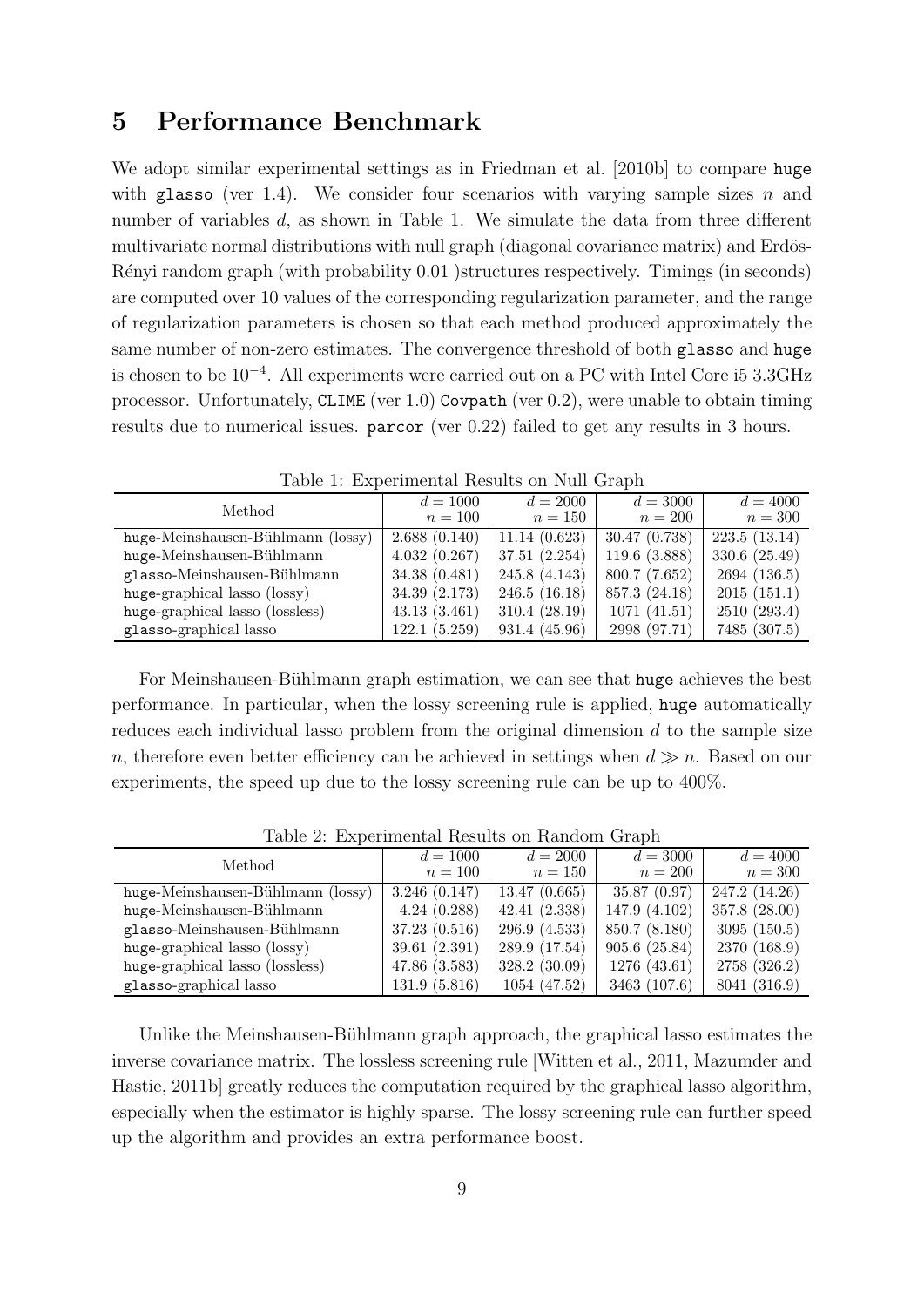### 5 Performance Benchmark

We adopt similar experimental settings as in Friedman et al. [2010b] to compare huge with glasso (ver 1.4). We consider four scenarios with varying sample sizes  $n$  and number of variables d, as shown in Table 1. We simulate the data from three different multivariate normal distributions with null graph (diagonal covariance matrix) and Erdös-Rényi random graph (with probability 0.01 )structures respectively. Timings (in seconds) are computed over 10 values of the corresponding regularization parameter, and the range of regularization parameters is chosen so that each method produced approximately the same number of non-zero estimates. The convergence threshold of both glasso and huge is chosen to be 10<sup>−</sup><sup>4</sup> . All experiments were carried out on a PC with Intel Core i5 3.3GHz processor. Unfortunately, CLIME (ver 1.0) Covpath (ver 0.2), were unable to obtain timing results due to numerical issues. parcor (ver 0.22) failed to get any results in 3 hours.

| Method                            | $d = 1000$<br>$n=100$ | $d = 2000$<br>$n=150$ | $d = 3000$<br>$n=200$ | $d = 4000$<br>$n=300$ |
|-----------------------------------|-----------------------|-----------------------|-----------------------|-----------------------|
| huge-Meinshausen-Bühlmann (lossy) | 2.688(0.140)          | 11.14(0.623)          | 30.47(0.738)          | 223.5(13.14)          |
| huge-Meinshausen-Bühlmann         | 4.032(0.267)          | 37.51(2.254)          | 119.6(3.888)          | 330.6 (25.49)         |
| glasso-Meinshausen-Bühlmann       | 34.38(0.481)          | 245.8(4.143)          | 800.7 (7.652)         | 2694(136.5)           |
| huge-graphical lasso (lossy)      | 34.39 (2.173)         | 246.5(16.18)          | 857.3 (24.18)         | 2015(151.1)           |
| huge-graphical lasso (lossless)   | 43.13(3.461)          | 310.4(28.19)          | 1071(41.51)           | 2510(293.4)           |
| glasso-graphical lasso            | 122.1(5.259)          | 931.4 (45.96)         | 2998 (97.71)          | 7485 (307.5)          |

Table 1: Experimental Results on Null Graph

For Meinshausen-Bühlmann graph estimation, we can see that huge achieves the best performance. In particular, when the lossy screening rule is applied, huge automatically reduces each individual lasso problem from the original dimension  $d$  to the sample size n, therefore even better efficiency can be achieved in settings when  $d \gg n$ . Based on our experiments, the speed up due to the lossy screening rule can be up to 400%.

| $d = 1000$<br>$n=100$ | $d = 2000$<br>$n = 150$ | $d = 3000$<br>$n=200$ | $d = 4000$<br>$n=300$ |
|-----------------------|-------------------------|-----------------------|-----------------------|
| 3.246(0.147)          | 13.47(0.665)            | 35.87(0.97)           | 247.2 (14.26)         |
| 4.24(0.288)           | 42.41(2.338)            | 147.9 (4.102)         | 357.8 (28.00)         |
| 37.23(0.516)          | 296.9(4.533)            | 850.7 (8.180)         | 3095(150.5)           |
| 39.61(2.391)          | 289.9 (17.54)           | 905.6(25.84)          | 2370 (168.9)          |
| 47.86(3.583)          | 328.2 (30.09)           | 1276(43.61)           | 2758 (326.2)          |
| 131.9(5.816)          | 1054(47.52)             | 3463 (107.6)          | 8041 (316.9)          |
|                       |                         |                       |                       |

Table 2: Experimental Results on Random Graph

Unlike the Meinshausen-Bühlmann graph approach, the graphical lasso estimates the inverse covariance matrix. The lossless screening rule [Witten et al., 2011, Mazumder and Hastie, 2011b] greatly reduces the computation required by the graphical lasso algorithm, especially when the estimator is highly sparse. The lossy screening rule can further speed up the algorithm and provides an extra performance boost.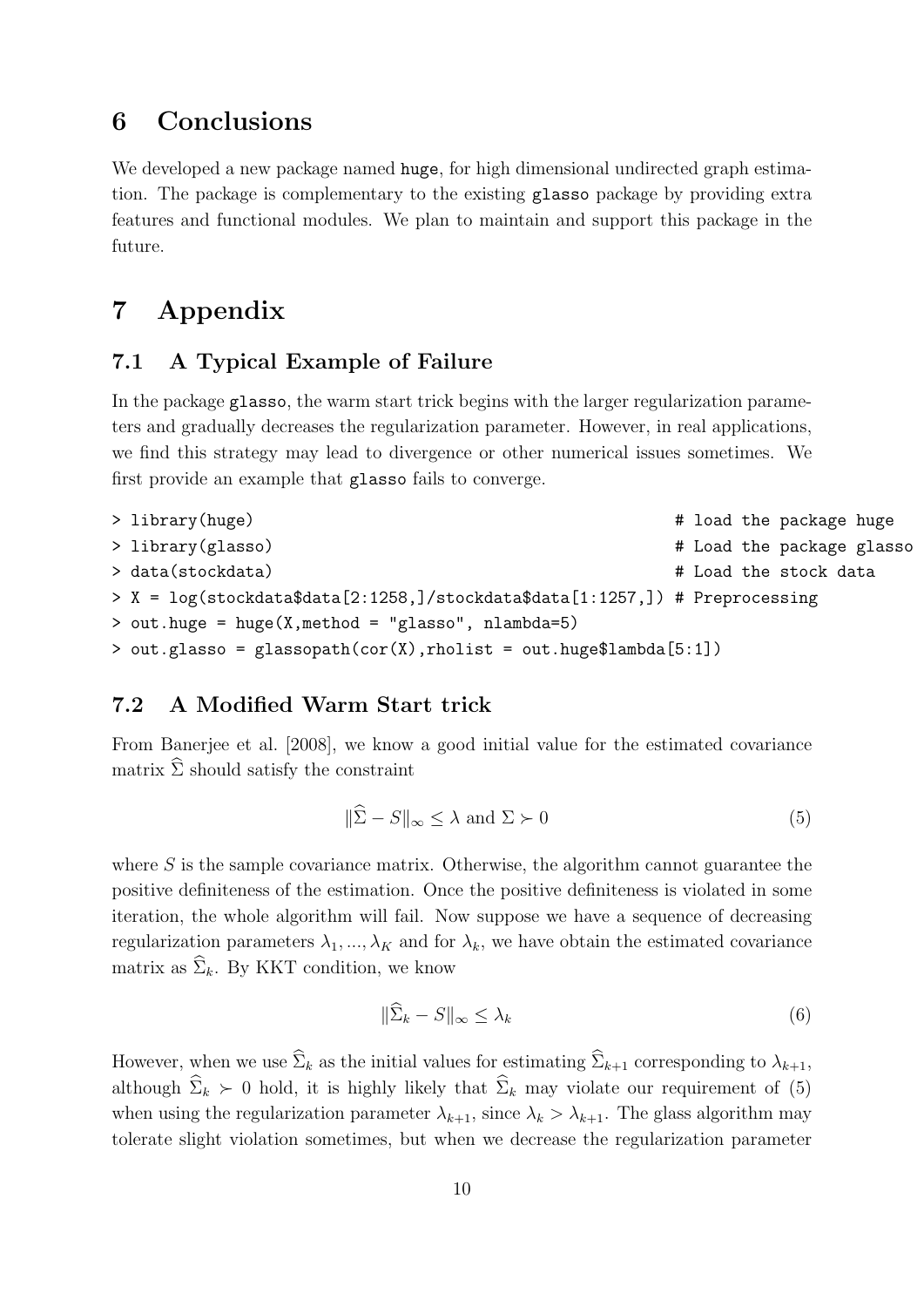# 6 Conclusions

We developed a new package named huge, for high dimensional undirected graph estimation. The package is complementary to the existing glasso package by providing extra features and functional modules. We plan to maintain and support this package in the future.

# 7 Appendix

#### 7.1 A Typical Example of Failure

In the package glasso, the warm start trick begins with the larger regularization parameters and gradually decreases the regularization parameter. However, in real applications, we find this strategy may lead to divergence or other numerical issues sometimes. We first provide an example that glasso fails to converge.

```
> library(huge) # load the package huge
> library(glasso) \uparrow library(glasso)
> data(stockdata) # Load the stock data
> X = log(stockdata$data[2:1258,]/stockdata$data[1:1257,]) # Preprocessing
> out.huge = huge(X,method = "glasso", nlambda=5)
> out.glasso = glassopath(cor(X),rholist = out.huge$lambda[5:1])
```
#### 7.2 A Modified Warm Start trick

From Banerjee et al. [2008], we know a good initial value for the estimated covariance matrix  $\hat{\Sigma}$  should satisfy the constraint

$$
\|\widehat{\Sigma} - S\|_{\infty} \le \lambda \text{ and } \Sigma \succ 0 \tag{5}
$$

where  $S$  is the sample covariance matrix. Otherwise, the algorithm cannot guarantee the positive definiteness of the estimation. Once the positive definiteness is violated in some iteration, the whole algorithm will fail. Now suppose we have a sequence of decreasing regularization parameters  $\lambda_1, ..., \lambda_K$  and for  $\lambda_k$ , we have obtain the estimated covariance matrix as  $\hat{\Sigma}_k$ . By KKT condition, we know

$$
\|\Sigma_k - S\|_{\infty} \le \lambda_k \tag{6}
$$

However, when we use  $\widehat{\Sigma}_k$  as the initial values for estimating  $\widehat{\Sigma}_{k+1}$  corresponding to  $\lambda_{k+1}$ , although  $\widehat{\Sigma}_k \succ 0$  hold, it is highly likely that  $\widehat{\Sigma}_k$  may violate our requirement of (5) when using the regularization parameter  $\lambda_{k+1}$ , since  $\lambda_k > \lambda_{k+1}$ . The glass algorithm may tolerate slight violation sometimes, but when we decrease the regularization parameter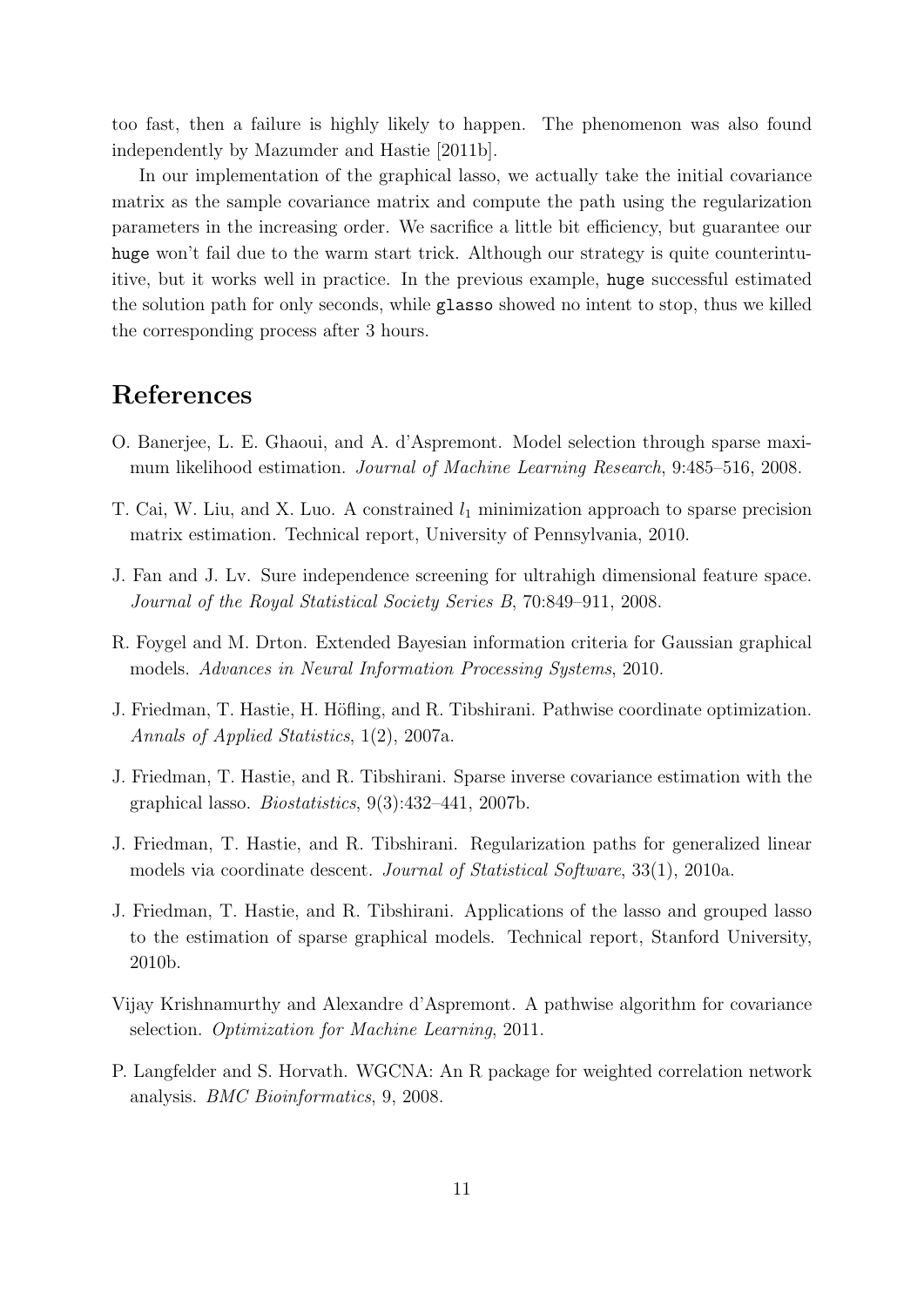too fast, then a failure is highly likely to happen. The phenomenon was also found independently by Mazumder and Hastie [2011b].

In our implementation of the graphical lasso, we actually take the initial covariance matrix as the sample covariance matrix and compute the path using the regularization parameters in the increasing order. We sacrifice a little bit efficiency, but guarantee our huge won't fail due to the warm start trick. Although our strategy is quite counterintuitive, but it works well in practice. In the previous example, huge successful estimated the solution path for only seconds, while glasso showed no intent to stop, thus we killed the corresponding process after 3 hours.

### References

- O. Banerjee, L. E. Ghaoui, and A. d'Aspremont. Model selection through sparse maximum likelihood estimation. Journal of Machine Learning Research, 9:485–516, 2008.
- T. Cai, W. Liu, and X. Luo. A constrained  $l_1$  minimization approach to sparse precision matrix estimation. Technical report, University of Pennsylvania, 2010.
- J. Fan and J. Lv. Sure independence screening for ultrahigh dimensional feature space. Journal of the Royal Statistical Society Series B, 70:849–911, 2008.
- R. Foygel and M. Drton. Extended Bayesian information criteria for Gaussian graphical models. Advances in Neural Information Processing Systems, 2010.
- J. Friedman, T. Hastie, H. Höfling, and R. Tibshirani. Pathwise coordinate optimization. Annals of Applied Statistics, 1(2), 2007a.
- J. Friedman, T. Hastie, and R. Tibshirani. Sparse inverse covariance estimation with the graphical lasso. Biostatistics, 9(3):432–441, 2007b.
- J. Friedman, T. Hastie, and R. Tibshirani. Regularization paths for generalized linear models via coordinate descent. Journal of Statistical Software, 33(1), 2010a.
- J. Friedman, T. Hastie, and R. Tibshirani. Applications of the lasso and grouped lasso to the estimation of sparse graphical models. Technical report, Stanford University, 2010b.
- Vijay Krishnamurthy and Alexandre d'Aspremont. A pathwise algorithm for covariance selection. Optimization for Machine Learning, 2011.
- P. Langfelder and S. Horvath. WGCNA: An R package for weighted correlation network analysis. BMC Bioinformatics, 9, 2008.